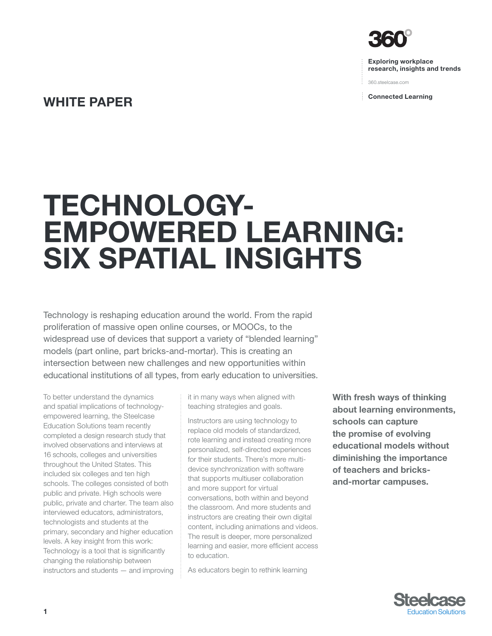

Exploring workplace research, insights and trends

360.steelcase.com

Connected Learning

## WHITE PAPER

# Technology-Empowered Learning: Six Spatial Insights

Technology is reshaping education around the world. From the rapid proliferation of massive open online courses, or MOOCs, to the widespread use of devices that support a variety of "blended learning" models (part online, part bricks-and-mortar). This is creating an intersection between new challenges and new opportunities within educational institutions of all types, from early education to universities.

To better understand the dynamics and spatial implications of technologyempowered learning, the Steelcase Education Solutions team recently completed a design research study that involved observations and interviews at 16 schools, colleges and universities throughout the United States. This included six colleges and ten high schools. The colleges consisted of both public and private. High schools were public, private and charter. The team also interviewed educators, administrators, technologists and students at the primary, secondary and higher education levels. A key insight from this work: Technology is a tool that is significantly changing the relationship between instructors and students — and improving

it in many ways when aligned with teaching strategies and goals.

Instructors are using technology to replace old models of standardized, rote learning and instead creating more personalized, self-directed experiences for their students. There's more multidevice synchronization with software that supports multiuser collaboration and more support for virtual conversations, both within and beyond the classroom. And more students and instructors are creating their own digital content, including animations and videos. The result is deeper, more personalized learning and easier, more efficient access to education.

As educators begin to rethink learning

With fresh ways of thinking about learning environments, schools can capture the promise of evolving educational models without diminishing the importance of teachers and bricksand-mortar campuses.

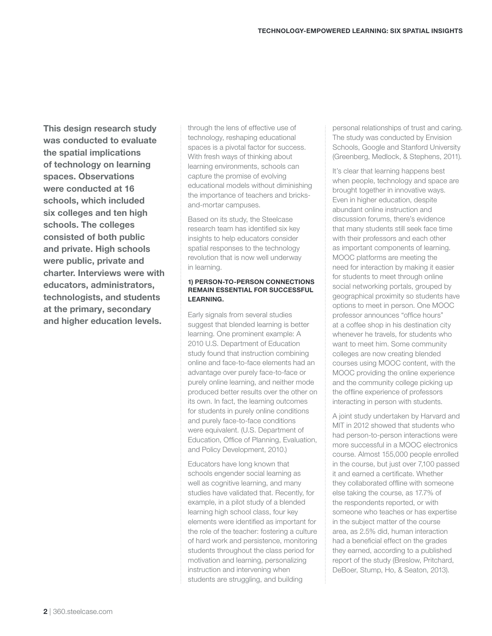This design research study was conducted to evaluate the spatial implications of technology on learning spaces. Observations were conducted at 16 schools, which included six colleges and ten high schools. The colleges consisted of both public and private. High schools were public, private and charter. Interviews were with educators, administrators, technologists, and students at the primary, secondary and higher education levels.

through the lens of effective use of technology, reshaping educational spaces is a pivotal factor for success. With fresh ways of thinking about learning environments, schools can capture the promise of evolving educational models without diminishing the importance of teachers and bricksand-mortar campuses.

Based on its study, the Steelcase research team has identified six key insights to help educators consider spatial responses to the technology revolution that is now well underway in learning.

## 1) Person-to-person connections remain essential for successful learning.

Early signals from several studies suggest that blended learning is better learning. One prominent example: A 2010 U.S. Department of Education study found that instruction combining online and face-to-face elements had an advantage over purely face-to-face or purely online learning, and neither mode produced better results over the other on its own. In fact, the learning outcomes for students in purely online conditions and purely face-to-face conditions were equivalent. (U.S. Department of Education, Office of Planning, Evaluation, and Policy Development, 2010.)

Educators have long known that schools engender social learning as well as cognitive learning, and many studies have validated that. Recently, for example, in a pilot study of a blended learning high school class, four key elements were identified as important for the role of the teacher: fostering a culture of hard work and persistence, monitoring students throughout the class period for motivation and learning, personalizing instruction and intervening when students are struggling, and building

personal relationships of trust and caring. The study was conducted by Envision Schools, Google and Stanford University (Greenberg, Medlock, & Stephens, 2011).

It's clear that learning happens best when people, technology and space are brought together in innovative ways. Even in higher education, despite abundant online instruction and discussion forums, there's evidence that many students still seek face time with their professors and each other as important components of learning. MOOC platforms are meeting the need for interaction by making it easier for students to meet through online social networking portals, grouped by geographical proximity so students have options to meet in person. One MOOC professor announces "office hours" at a coffee shop in his destination city whenever he travels, for students who want to meet him. Some community colleges are now creating blended courses using MOOC content, with the MOOC providing the online experience and the community college picking up the offline experience of professors interacting in person with students.

A joint study undertaken by Harvard and MIT in 2012 showed that students who had person-to-person interactions were more successful in a MOOC electronics course. Almost 155,000 people enrolled in the course, but just over 7,100 passed it and earned a certificate. Whether they collaborated offline with someone else taking the course, as 17.7% of the respondents reported, or with someone who teaches or has expertise in the subject matter of the course area, as 2.5% did, human interaction had a beneficial effect on the grades they earned, according to a published report of the study (Breslow, Pritchard, DeBoer, Stump, Ho, & Seaton, 2013).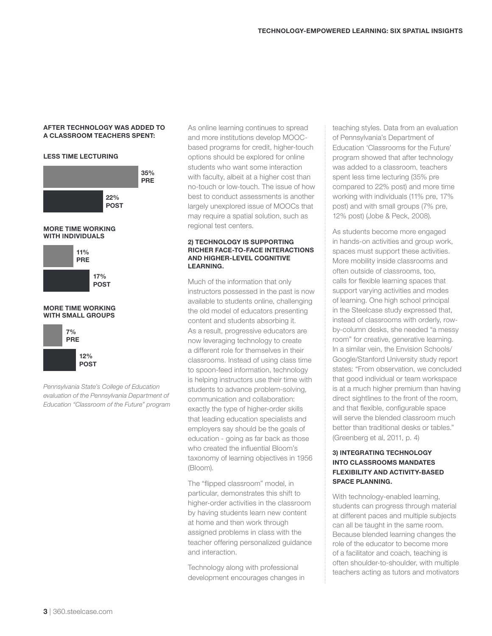#### After technology was added to a classroom Teachers spent:

## less time lecturing





*Pennsylvania State's College of Education evaluation of the Pennsylvania Department of Education "Classroom of the Future" program* As online learning continues to spread and more institutions develop MOOCbased programs for credit, higher-touch options should be explored for online students who want some interaction with faculty, albeit at a higher cost than no-touch or low-touch. The issue of how best to conduct assessments is another largely unexplored issue of MOOCs that may require a spatial solution, such as regional test centers.

#### 2) Technology is supporting richer face-to-face interactions and higher-level cognitive learning.

Much of the information that only instructors possessed in the past is now available to students online, challenging the old model of educators presenting content and students absorbing it. As a result, progressive educators are now leveraging technology to create a different role for themselves in their classrooms. Instead of using class time to spoon-feed information, technology is helping instructors use their time with students to advance problem-solving, communication and collaboration: exactly the type of higher-order skills that leading education specialists and employers say should be the goals of education - going as far back as those who created the influential Bloom's taxonomy of learning objectives in 1956 (Bloom).

The "flipped classroom" model, in particular, demonstrates this shift to higher-order activities in the classroom by having students learn new content at home and then work through assigned problems in class with the teacher offering personalized guidance and interaction.

Technology along with professional development encourages changes in teaching styles. Data from an evaluation of Pennsylvania's Department of Education 'Classrooms for the Future' program showed that after technology was added to a classroom, teachers spent less time lecturing (35% pre compared to 22% post) and more time working with individuals (11% pre, 17% post) and with small groups (7% pre, 12% post) (Jobe & Peck, 2008).

As students become more engaged in hands-on activities and group work, spaces must support these activities. More mobility inside classrooms and often outside of classrooms, too, calls for flexible learning spaces that support varying activities and modes of learning. One high school principal in the Steelcase study expressed that, instead of classrooms with orderly, rowby-column desks, she needed "a messy room" for creative, generative learning. In a similar vein, the Envision Schools/ Google/Stanford University study report states: "From observation, we concluded that good individual or team workspace is at a much higher premium than having direct sightlines to the front of the room, and that flexible, configurable space will serve the blended classroom much better than traditional desks or tables." (Greenberg et al, 2011, p. 4)

## 3) Integrating technology into classrooms mandates flexibility and activity-based space planning.

With technology-enabled learning, students can progress through material at different paces and multiple subjects can all be taught in the same room. Because blended learning changes the role of the educator to become more of a facilitator and coach, teaching is often shoulder-to-shoulder, with multiple teachers acting as tutors and motivators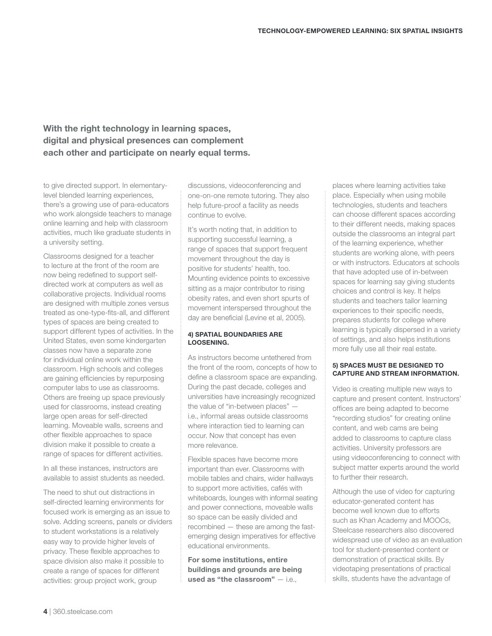## With the right technology in learning spaces, digital and physical presences can complement each other and participate on nearly equal terms.

to give directed support. In elementarylevel blended learning experiences, there's a growing use of para-educators who work alongside teachers to manage online learning and help with classroom activities, much like graduate students in a university setting.

Classrooms designed for a teacher to lecture at the front of the room are now being redefined to support selfdirected work at computers as well as collaborative projects. Individual rooms are designed with multiple zones versus treated as one-type-fits-all, and different types of spaces are being created to support different types of activities. In the United States, even some kindergarten classes now have a separate zone for individual online work within the classroom. High schools and colleges are gaining efficiencies by repurposing computer labs to use as classrooms. Others are freeing up space previously used for classrooms, instead creating large open areas for self-directed learning. Moveable walls, screens and other flexible approaches to space division make it possible to create a range of spaces for different activities.

In all these instances, instructors are available to assist students as needed.

The need to shut out distractions in self-directed learning environments for focused work is emerging as an issue to solve. Adding screens, panels or dividers to student workstations is a relatively easy way to provide higher levels of privacy. These flexible approaches to space division also make it possible to create a range of spaces for different activities: group project work, group

discussions, videoconferencing and one-on-one remote tutoring. They also help future-proof a facility as needs continue to evolve.

It's worth noting that, in addition to supporting successful learning, a range of spaces that support frequent movement throughout the day is positive for students' health, too. Mounting evidence points to excessive sitting as a major contributor to rising obesity rates, and even short spurts of movement interspersed throughout the day are beneficial (Levine et al, 2005).

## 4) Spatial boundaries are loosening.

As instructors become untethered from the front of the room, concepts of how to define a classroom space are expanding. During the past decade, colleges and universities have increasingly recognized the value of "in-between places" i.e., informal areas outside classrooms where interaction tied to learning can occur. Now that concept has even more relevance.

Flexible spaces have become more important than ever. Classrooms with mobile tables and chairs, wider hallways to support more activities, cafés with whiteboards, lounges with informal seating and power connections, moveable walls so space can be easily divided and recombined — these are among the fastemerging design imperatives for effective educational environments.

For some institutions, entire buildings and grounds are being used as "the classroom" — i.e.,

places where learning activities take place. Especially when using mobile technologies, students and teachers can choose different spaces according to their different needs, making spaces outside the classrooms an integral part of the learning experience, whether students are working alone, with peers or with instructors. Educators at schools that have adopted use of in-between spaces for learning say giving students choices and control is key. It helps students and teachers tailor learning experiences to their specific needs, prepares students for college where learning is typically dispersed in a variety of settings, and also helps institutions more fully use all their real estate.

## 5) Spaces must be designed to capture and stream information.

Video is creating multiple new ways to capture and present content. Instructors' offices are being adapted to become "recording studios" for creating online content, and web cams are being added to classrooms to capture class activities. University professors are using videoconferencing to connect with subject matter experts around the world to further their research.

Although the use of video for capturing educator-generated content has become well known due to efforts such as Khan Academy and MOOCs, Steelcase researchers also discovered widespread use of video as an evaluation tool for student-presented content or demonstration of practical skills. By videotaping presentations of practical skills, students have the advantage of